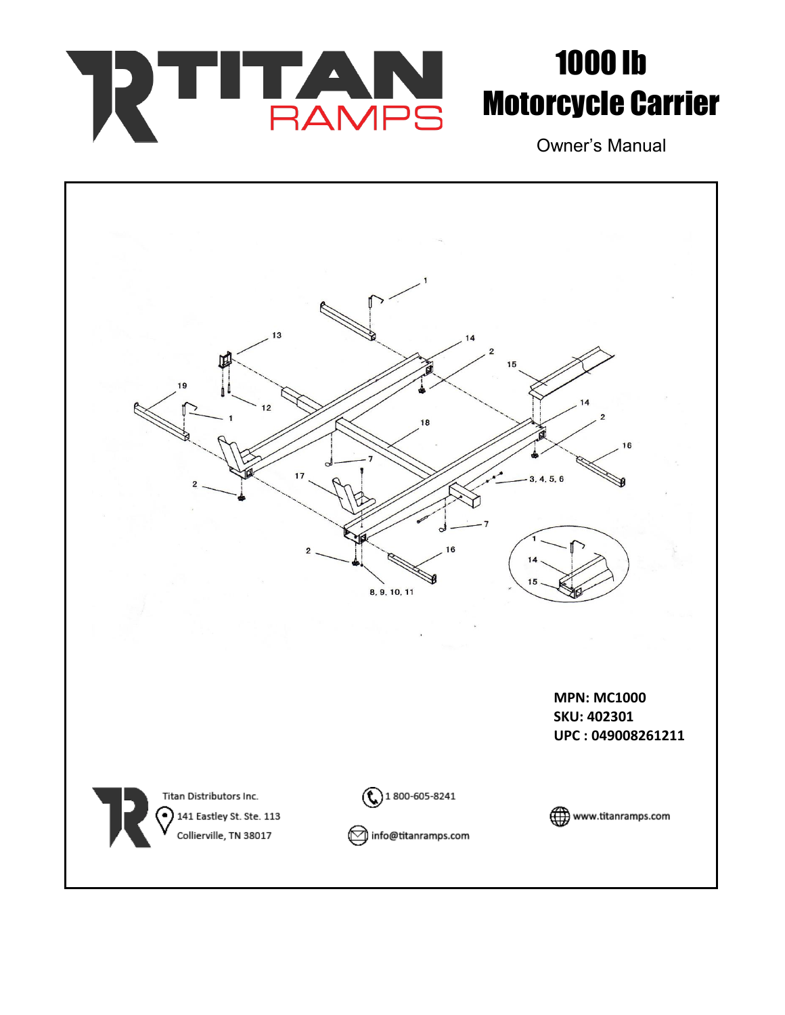

## 1000 lb Motorcycle Carrier

Owner's Manual

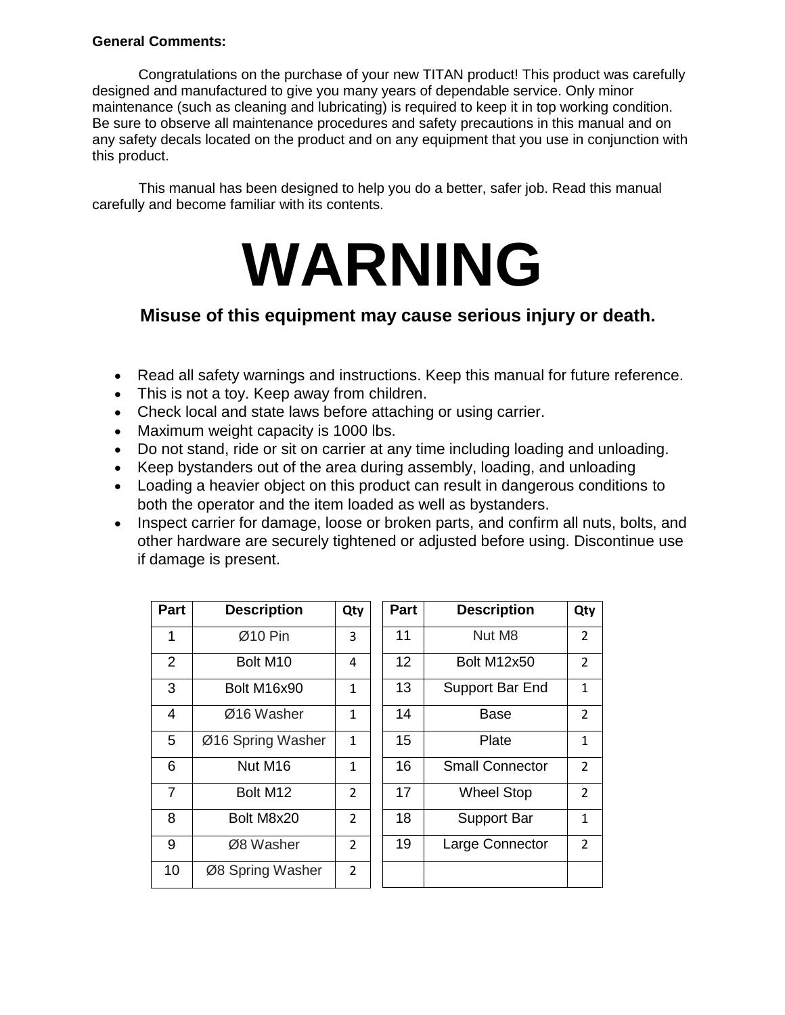#### **General Comments:**

Congratulations on the purchase of your new TITAN product! This product was carefully designed and manufactured to give you many years of dependable service. Only minor maintenance (such as cleaning and lubricating) is required to keep it in top working condition. Be sure to observe all maintenance procedures and safety precautions in this manual and on any safety decals located on the product and on any equipment that you use in conjunction with this product.

This manual has been designed to help you do a better, safer job. Read this manual carefully and become familiar with its contents.

# **WARNING**

### **Misuse of this equipment may cause serious injury or death.**

- Read all safety warnings and instructions. Keep this manual for future reference.
- This is not a toy. Keep away from children.
- Check local and state laws before attaching or using carrier.
- Maximum weight capacity is 1000 lbs.
- Do not stand, ride or sit on carrier at any time including loading and unloading.
- Keep bystanders out of the area during assembly, loading, and unloading
- Loading a heavier object on this product can result in dangerous conditions to both the operator and the item loaded as well as bystanders.
- Inspect carrier for damage, loose or broken parts, and confirm all nuts, bolts, and other hardware are securely tightened or adjusted before using. Discontinue use if damage is present.

| Part           | <b>Description</b>   | Qty            | <b>Part</b> | <b>Description</b>     | Qty            |
|----------------|----------------------|----------------|-------------|------------------------|----------------|
| 1              | Ø10 Pin              | 3              | 11          | Nut M8                 | $\overline{2}$ |
| 2              | Bolt M <sub>10</sub> | 4              | 12          | <b>Bolt M12x50</b>     | $\overline{2}$ |
| 3              | Bolt M16x90          | 1              | 13          | Support Bar End        | $\mathbf{1}$   |
| 4              | Ø16 Washer           | $\mathbf{1}$   | 14          | Base                   | $\overline{2}$ |
| 5              | Ø16 Spring Washer    | $\mathbf{1}$   | 15          | Plate                  | $\mathbf{1}$   |
| 6              | Nut M <sub>16</sub>  | 1              | 16          | <b>Small Connector</b> | $\overline{2}$ |
| $\overline{7}$ | Bolt M12             | $\overline{2}$ | 17          | <b>Wheel Stop</b>      | $\overline{2}$ |
| 8              | Bolt M8x20           | $\overline{2}$ | 18          | <b>Support Bar</b>     | $\mathbf{1}$   |
| 9              | Ø8 Washer            | $\overline{2}$ | 19          | Large Connector        | $\overline{2}$ |
| 10             | Ø8 Spring Washer     | $\overline{2}$ |             |                        |                |